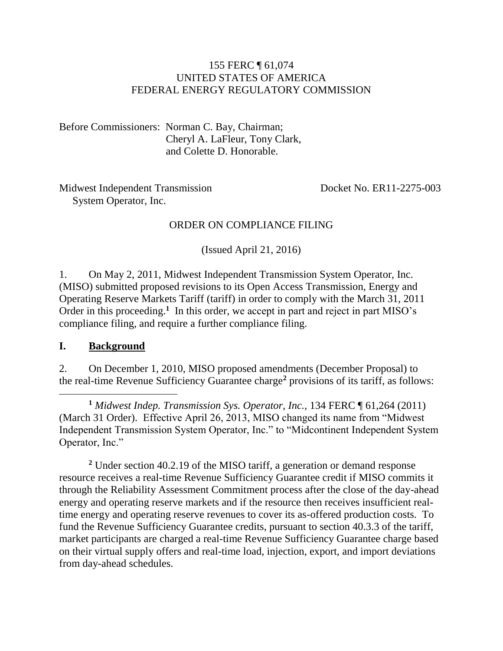### 155 FERC ¶ 61,074 UNITED STATES OF AMERICA FEDERAL ENERGY REGULATORY COMMISSION

Before Commissioners: Norman C. Bay, Chairman; Cheryl A. LaFleur, Tony Clark, and Colette D. Honorable.

Midwest Independent Transmission System Operator, Inc.

Docket No. ER11-2275-003

### ORDER ON COMPLIANCE FILING

(Issued April 21, 2016)

1. On May 2, 2011, Midwest Independent Transmission System Operator, Inc. (MISO) submitted proposed revisions to its Open Access Transmission, Energy and Operating Reserve Markets Tariff (tariff) in order to comply with the March 31, 2011 Order in this proceeding.<sup>1</sup> In this order, we accept in part and reject in part MISO's compliance filing, and require a further compliance filing.

#### **I. Background**

 $\overline{a}$ 

2. On December 1, 2010, MISO proposed amendments (December Proposal) to the real-time Revenue Sufficiency Guarantee charge**<sup>2</sup>** provisions of its tariff, as follows:

**<sup>1</sup>** *Midwest Indep. Transmission Sys. Operator, Inc.,* 134 FERC ¶ 61,264 (2011) (March 31 Order). Effective April 26, 2013, MISO changed its name from "Midwest Independent Transmission System Operator, Inc." to "Midcontinent Independent System Operator, Inc."

**<sup>2</sup>** Under section 40.2.19 of the MISO tariff, a generation or demand response resource receives a real-time Revenue Sufficiency Guarantee credit if MISO commits it through the Reliability Assessment Commitment process after the close of the day-ahead energy and operating reserve markets and if the resource then receives insufficient realtime energy and operating reserve revenues to cover its as-offered production costs. To fund the Revenue Sufficiency Guarantee credits, pursuant to section 40.3.3 of the tariff, market participants are charged a real-time Revenue Sufficiency Guarantee charge based on their virtual supply offers and real-time load, injection, export, and import deviations from day-ahead schedules.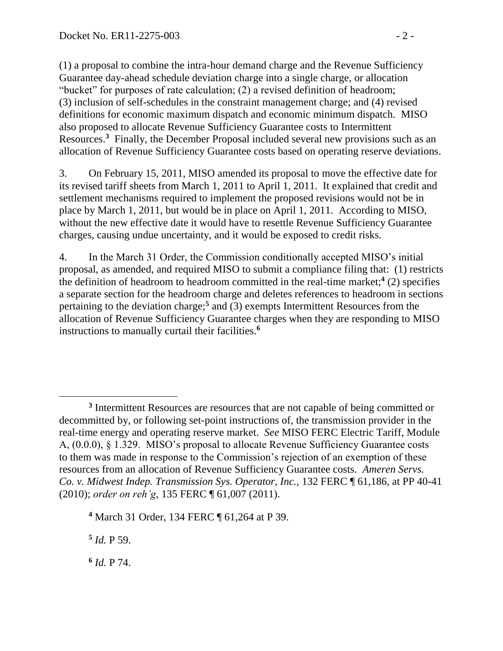(1) a proposal to combine the intra-hour demand charge and the Revenue Sufficiency Guarantee day-ahead schedule deviation charge into a single charge, or allocation "bucket" for purposes of rate calculation; (2) a revised definition of headroom; (3) inclusion of self-schedules in the constraint management charge; and (4) revised definitions for economic maximum dispatch and economic minimum dispatch. MISO also proposed to allocate Revenue Sufficiency Guarantee costs to Intermittent Resources.**<sup>3</sup>** Finally, the December Proposal included several new provisions such as an allocation of Revenue Sufficiency Guarantee costs based on operating reserve deviations.

3. On February 15, 2011, MISO amended its proposal to move the effective date for its revised tariff sheets from March 1, 2011 to April 1, 2011. It explained that credit and settlement mechanisms required to implement the proposed revisions would not be in place by March 1, 2011, but would be in place on April 1, 2011. According to MISO, without the new effective date it would have to resettle Revenue Sufficiency Guarantee charges, causing undue uncertainty, and it would be exposed to credit risks.

4. In the March 31 Order, the Commission conditionally accepted MISO's initial proposal, as amended, and required MISO to submit a compliance filing that: (1) restricts the definition of headroom to headroom committed in the real-time market;**<sup>4</sup>** (2) specifies a separate section for the headroom charge and deletes references to headroom in sections pertaining to the deviation charge;**<sup>5</sup>** and (3) exempts Intermittent Resources from the allocation of Revenue Sufficiency Guarantee charges when they are responding to MISO instructions to manually curtail their facilities.**<sup>6</sup>**

**5** *Id.* P 59.

**6** *Id.* P 74.

<sup>&</sup>lt;sup>3</sup> Intermittent Resources are resources that are not capable of being committed or decommitted by, or following set-point instructions of, the transmission provider in the real-time energy and operating reserve market. *See* MISO FERC Electric Tariff, Module A, (0.0.0), § 1.329. MISO's proposal to allocate Revenue Sufficiency Guarantee costs to them was made in response to the Commission's rejection of an exemption of these resources from an allocation of Revenue Sufficiency Guarantee costs. *Ameren Servs. Co. v. Midwest Indep. Transmission Sys. Operator, Inc.,* 132 FERC ¶ 61,186, at PP 40-41 (2010); *order on reh'g*, 135 FERC ¶ 61,007 (2011).

**<sup>4</sup>** March 31 Order, 134 FERC ¶ 61,264 at P 39.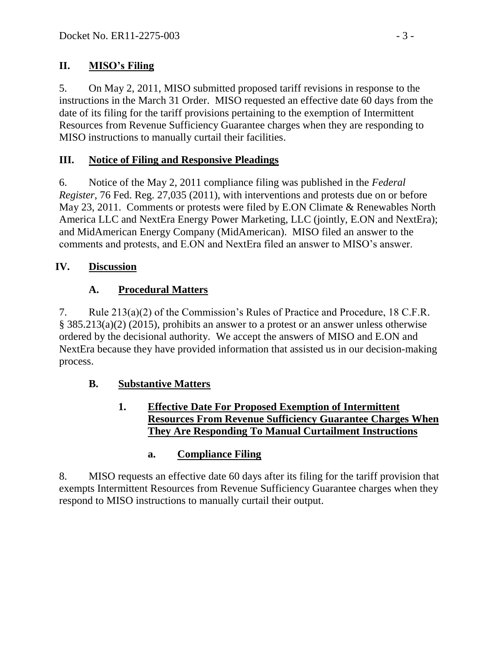## **II. MISO's Filing**

5. On May 2, 2011, MISO submitted proposed tariff revisions in response to the instructions in the March 31 Order. MISO requested an effective date 60 days from the date of its filing for the tariff provisions pertaining to the exemption of Intermittent Resources from Revenue Sufficiency Guarantee charges when they are responding to MISO instructions to manually curtail their facilities.

## **III. Notice of Filing and Responsive Pleadings**

6. Notice of the May 2, 2011 compliance filing was published in the *Federal Register*, 76 Fed. Reg. 27,035 (2011), with interventions and protests due on or before May 23, 2011. Comments or protests were filed by E.ON Climate & Renewables North America LLC and NextEra Energy Power Marketing, LLC (jointly, E.ON and NextEra); and MidAmerican Energy Company (MidAmerican). MISO filed an answer to the comments and protests, and E.ON and NextEra filed an answer to MISO's answer.

## **IV. Discussion**

# **A. Procedural Matters**

7. Rule 213(a)(2) of the Commission's Rules of Practice and Procedure, 18 C.F.R. § 385.213(a)(2) (2015), prohibits an answer to a protest or an answer unless otherwise ordered by the decisional authority. We accept the answers of MISO and E.ON and NextEra because they have provided information that assisted us in our decision-making process.

## **B. Substantive Matters**

### **1. Effective Date For Proposed Exemption of Intermittent Resources From Revenue Sufficiency Guarantee Charges When They Are Responding To Manual Curtailment Instructions**

## **a. Compliance Filing**

8. MISO requests an effective date 60 days after its filing for the tariff provision that exempts Intermittent Resources from Revenue Sufficiency Guarantee charges when they respond to MISO instructions to manually curtail their output.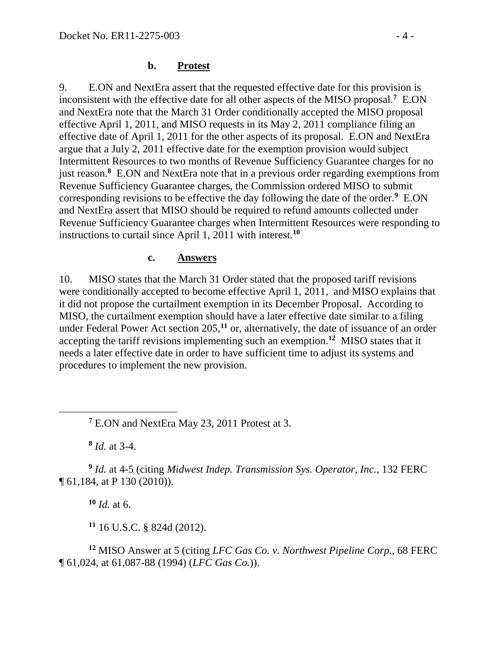### **b. Protest**

9. E.ON and NextEra assert that the requested effective date for this provision is inconsistent with the effective date for all other aspects of the MISO proposal.**<sup>7</sup>** E.ON and NextEra note that the March 31 Order conditionally accepted the MISO proposal effective April 1, 2011, and MISO requests in its May 2, 2011 compliance filing an effective date of April 1, 2011 for the other aspects of its proposal. E.ON and NextEra argue that a July 2, 2011 effective date for the exemption provision would subject Intermittent Resources to two months of Revenue Sufficiency Guarantee charges for no just reason.**<sup>8</sup>** E.ON and NextEra note that in a previous order regarding exemptions from Revenue Sufficiency Guarantee charges, the Commission ordered MISO to submit corresponding revisions to be effective the day following the date of the order.**<sup>9</sup>** E.ON and NextEra assert that MISO should be required to refund amounts collected under Revenue Sufficiency Guarantee charges when Intermittent Resources were responding to instructions to curtail since April 1, 2011 with interest.**<sup>10</sup>**

### **c. Answers**

10. MISO states that the March 31 Order stated that the proposed tariff revisions were conditionally accepted to become effective April 1, 2011, and MISO explains that it did not propose the curtailment exemption in its December Proposal. According to MISO, the curtailment exemption should have a later effective date similar to a filing under Federal Power Act section 205,**<sup>11</sup>** or, alternatively, the date of issuance of an order accepting the tariff revisions implementing such an exemption.**<sup>12</sup>** MISO states that it needs a later effective date in order to have sufficient time to adjust its systems and procedures to implement the new provision.

**8** *Id.* at 3-4.

 $\overline{a}$ 

**9** *Id.* at 4-5 (citing *Midwest Indep. Transmission Sys. Operator, Inc.,* 132 FERC ¶ 61,184, at P 130 (2010)).

**<sup>10</sup>** *Id.* at 6.

**<sup>11</sup>** 16 U.S.C. § 824d (2012).

**<sup>12</sup>** MISO Answer at 5 (citing *LFC Gas Co. v. Northwest Pipeline Corp.*, 68 FERC ¶ 61,024, at 61,087-88 (1994) (*LFC Gas Co.*)).

**<sup>7</sup>** E.ON and NextEra May 23, 2011 Protest at 3.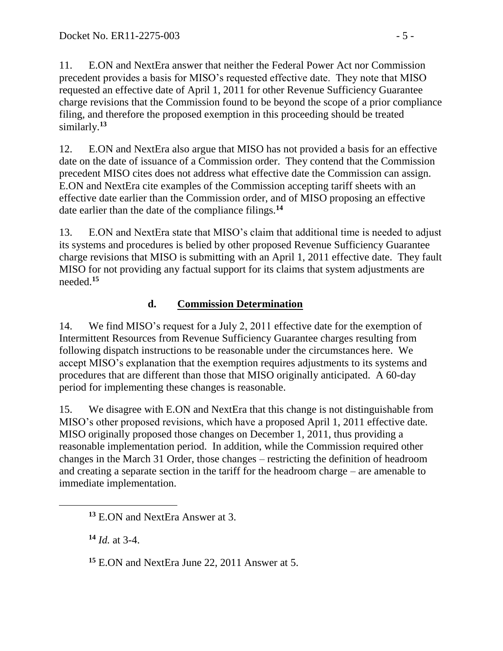11. E.ON and NextEra answer that neither the Federal Power Act nor Commission precedent provides a basis for MISO's requested effective date. They note that MISO requested an effective date of April 1, 2011 for other Revenue Sufficiency Guarantee charge revisions that the Commission found to be beyond the scope of a prior compliance filing, and therefore the proposed exemption in this proceeding should be treated similarly.**<sup>13</sup>**

12. E.ON and NextEra also argue that MISO has not provided a basis for an effective date on the date of issuance of a Commission order. They contend that the Commission precedent MISO cites does not address what effective date the Commission can assign. E.ON and NextEra cite examples of the Commission accepting tariff sheets with an effective date earlier than the Commission order, and of MISO proposing an effective date earlier than the date of the compliance filings.**<sup>14</sup>**

13. E.ON and NextEra state that MISO's claim that additional time is needed to adjust its systems and procedures is belied by other proposed Revenue Sufficiency Guarantee charge revisions that MISO is submitting with an April 1, 2011 effective date. They fault MISO for not providing any factual support for its claims that system adjustments are needed.**<sup>15</sup>**

## **d. Commission Determination**

14. We find MISO's request for a July 2, 2011 effective date for the exemption of Intermittent Resources from Revenue Sufficiency Guarantee charges resulting from following dispatch instructions to be reasonable under the circumstances here. We accept MISO's explanation that the exemption requires adjustments to its systems and procedures that are different than those that MISO originally anticipated. A 60-day period for implementing these changes is reasonable.

15. We disagree with E.ON and NextEra that this change is not distinguishable from MISO's other proposed revisions, which have a proposed April 1, 2011 effective date. MISO originally proposed those changes on December 1, 2011, thus providing a reasonable implementation period. In addition, while the Commission required other changes in the March 31 Order, those changes – restricting the definition of headroom and creating a separate section in the tariff for the headroom charge – are amenable to immediate implementation.

**<sup>14</sup>** *Id.* at 3-4.

**<sup>15</sup>** E.ON and NextEra June 22, 2011 Answer at 5.

**<sup>13</sup>** E.ON and NextEra Answer at 3.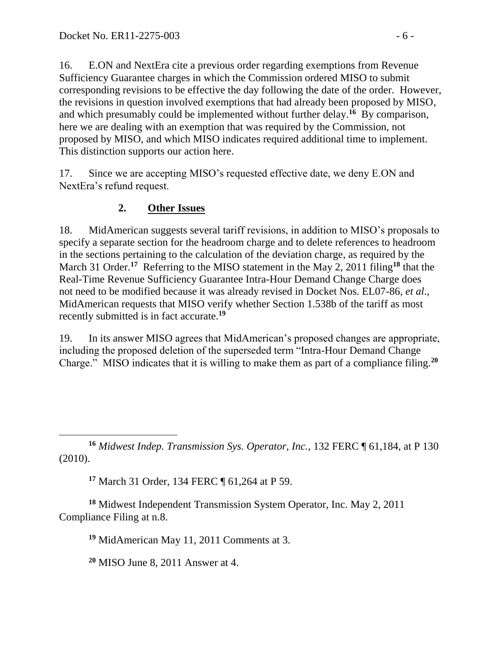16. E.ON and NextEra cite a previous order regarding exemptions from Revenue Sufficiency Guarantee charges in which the Commission ordered MISO to submit corresponding revisions to be effective the day following the date of the order. However, the revisions in question involved exemptions that had already been proposed by MISO, and which presumably could be implemented without further delay. **16** By comparison, here we are dealing with an exemption that was required by the Commission, not proposed by MISO, and which MISO indicates required additional time to implement. This distinction supports our action here.

17. Since we are accepting MISO's requested effective date, we deny E.ON and NextEra's refund request.

### **2. Other Issues**

18. MidAmerican suggests several tariff revisions, in addition to MISO's proposals to specify a separate section for the headroom charge and to delete references to headroom in the sections pertaining to the calculation of the deviation charge, as required by the March 31 Order.<sup>17</sup> Referring to the MISO statement in the May 2, 2011 filing<sup>18</sup> that the Real-Time Revenue Sufficiency Guarantee Intra-Hour Demand Change Charge does not need to be modified because it was already revised in Docket Nos. EL07-86, *et al*., MidAmerican requests that MISO verify whether Section 1.538b of the tariff as most recently submitted is in fact accurate.**<sup>19</sup>**

19. In its answer MISO agrees that MidAmerican's proposed changes are appropriate, including the proposed deletion of the superseded term "Intra-Hour Demand Change Charge." MISO indicates that it is willing to make them as part of a compliance filing.**<sup>20</sup>**

**<sup>16</sup>** *Midwest Indep. Transmission Sys. Operator, Inc.,* 132 FERC ¶ 61,184, at P 130 (2010).

**<sup>17</sup>** March 31 Order, 134 FERC ¶ 61,264 at P 59.

**<sup>18</sup>** Midwest Independent Transmission System Operator, Inc. May 2, 2011 Compliance Filing at n.8.

**<sup>19</sup>** MidAmerican May 11, 2011 Comments at 3.

**<sup>20</sup>** MISO June 8, 2011 Answer at 4.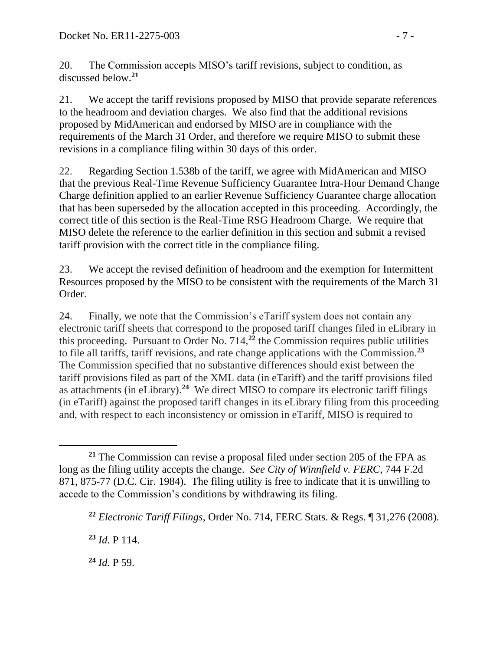20. The Commission accepts MISO's tariff revisions, subject to condition, as discussed below.**<sup>21</sup>**

21. We accept the tariff revisions proposed by MISO that provide separate references to the headroom and deviation charges. We also find that the additional revisions proposed by MidAmerican and endorsed by MISO are in compliance with the requirements of the March 31 Order, and therefore we require MISO to submit these revisions in a compliance filing within 30 days of this order.

22. Regarding Section 1.538b of the tariff, we agree with MidAmerican and MISO that the previous Real-Time Revenue Sufficiency Guarantee Intra-Hour Demand Change Charge definition applied to an earlier Revenue Sufficiency Guarantee charge allocation that has been superseded by the allocation accepted in this proceeding. Accordingly, the correct title of this section is the Real-Time RSG Headroom Charge. We require that MISO delete the reference to the earlier definition in this section and submit a revised tariff provision with the correct title in the compliance filing.

23. We accept the revised definition of headroom and the exemption for Intermittent Resources proposed by the MISO to be consistent with the requirements of the March 31 Order.

24. Finally, we note that the Commission's eTariff system does not contain any electronic tariff sheets that correspond to the proposed tariff changes filed in eLibrary in this proceeding. Pursuant to Order No. 714,**<sup>22</sup>** the Commission requires public utilities to file all tariffs, tariff revisions, and rate change applications with the Commission.**<sup>23</sup>** The Commission specified that no substantive differences should exist between the tariff provisions filed as part of the XML data (in eTariff) and the tariff provisions filed as attachments (in eLibrary).**<sup>24</sup>** We direct MISO to compare its electronic tariff filings (in eTariff) against the proposed tariff changes in its eLibrary filing from this proceeding and, with respect to each inconsistency or omission in eTariff, MISO is required to

**<sup>23</sup>** *Id.* P 114.

**<sup>24</sup>** *Id.* P 59.

**<sup>21</sup>** The Commission can revise a proposal filed under section 205 of the FPA as long as the filing utility accepts the change. *See City of Winnfield v. FERC*, 744 F.2d 871, 875-77 (D.C. Cir. 1984). The filing utility is free to indicate that it is unwilling to accede to the Commission's conditions by withdrawing its filing.

**<sup>22</sup>** *Electronic Tariff Filings*, Order No. 714, FERC Stats. & Regs. ¶ 31,276 (2008).